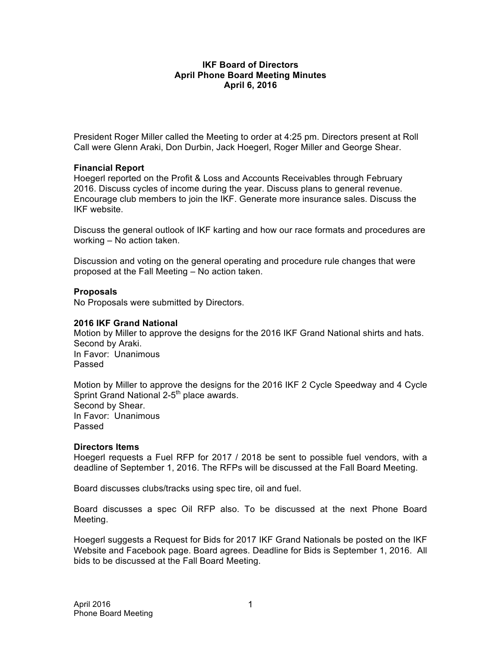### **IKF Board of Directors April Phone Board Meeting Minutes April 6, 2016**

President Roger Miller called the Meeting to order at 4:25 pm. Directors present at Roll Call were Glenn Araki, Don Durbin, Jack Hoegerl, Roger Miller and George Shear.

# **Financial Report**

Hoegerl reported on the Profit & Loss and Accounts Receivables through February 2016. Discuss cycles of income during the year. Discuss plans to general revenue. Encourage club members to join the IKF. Generate more insurance sales. Discuss the IKF website.

Discuss the general outlook of IKF karting and how our race formats and procedures are working – No action taken.

Discussion and voting on the general operating and procedure rule changes that were proposed at the Fall Meeting – No action taken.

# **Proposals**

No Proposals were submitted by Directors.

### **2016 IKF Grand National**

Motion by Miller to approve the designs for the 2016 IKF Grand National shirts and hats. Second by Araki. In Favor: Unanimous Passed

Motion by Miller to approve the designs for the 2016 IKF 2 Cycle Speedway and 4 Cycle Sprint Grand National 2-5<sup>th</sup> place awards. Second by Shear. In Favor: Unanimous Passed

#### **Directors Items**

Hoegerl requests a Fuel RFP for 2017 / 2018 be sent to possible fuel vendors, with a deadline of September 1, 2016. The RFPs will be discussed at the Fall Board Meeting.

Board discusses clubs/tracks using spec tire, oil and fuel.

Board discusses a spec Oil RFP also. To be discussed at the next Phone Board Meeting.

Hoegerl suggests a Request for Bids for 2017 IKF Grand Nationals be posted on the IKF Website and Facebook page. Board agrees. Deadline for Bids is September 1, 2016. All bids to be discussed at the Fall Board Meeting.